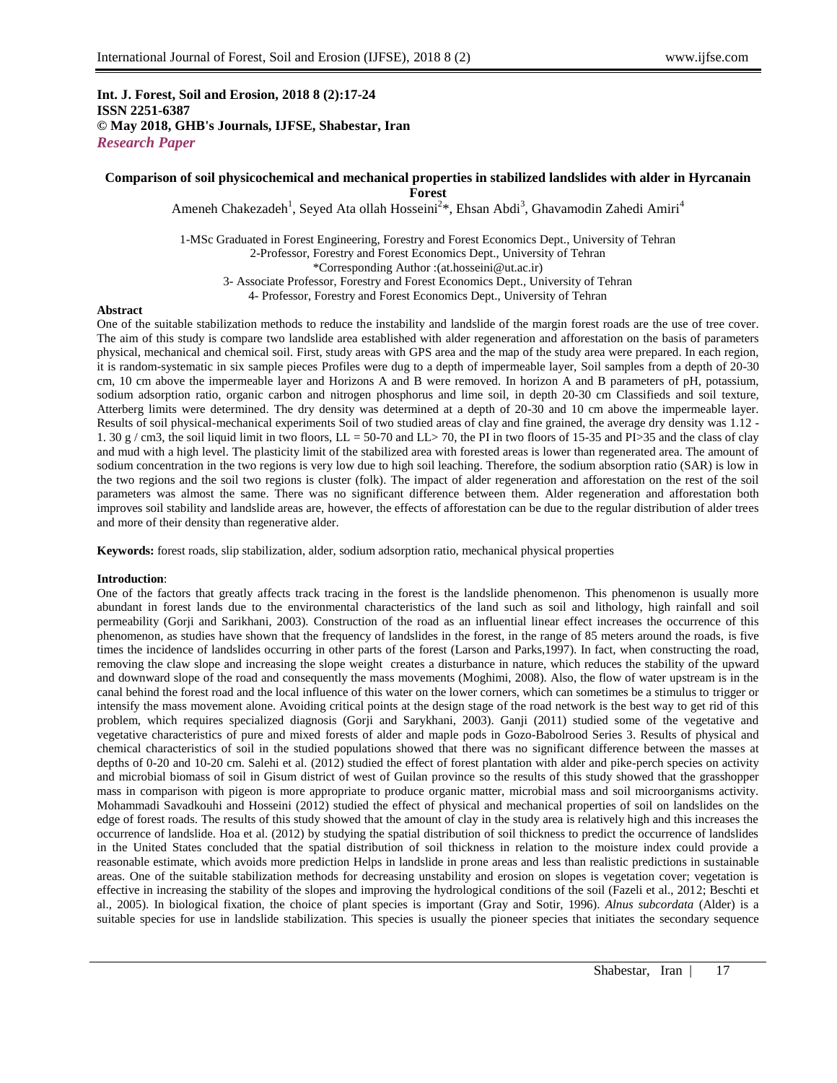## **Int. J. Forest, Soil and Erosion, 2018 8 (2):17-24 ISSN 2251-6387 © May 2018, GHB's Journals, IJFSE, Shabestar, Iran** *Research Paper*

# **Comparison of soil physicochemical and mechanical properties in stabilized landslides with alder in Hyrcanain Forest**

Ameneh Chakezadeh<sup>1</sup>, Seyed Ata ollah Hosseini<sup>2\*</sup>, Ehsan Abdi<sup>3</sup>, Ghavamodin Zahedi Amiri<sup>4</sup>

1-MSc Graduated in Forest Engineering, Forestry and Forest Economics Dept., University of Tehran 2-Professor, Forestry and Forest Economics Dept., University of Tehran \*Corresponding Author :(at.hosseini@ut.ac.ir) 3- Associate Professor, Forestry and Forest Economics Dept., University of Tehran 4- Professor, Forestry and Forest Economics Dept., University of Tehran

### **Abstract**

One of the suitable stabilization methods to reduce the instability and landslide of the margin forest roads are the use of tree cover. The aim of this study is compare two landslide area established with alder regeneration and afforestation on the basis of parameters physical, mechanical and chemical soil. First, study areas with GPS area and the map of the study area were prepared. In each region, it is random-systematic in six sample pieces Profiles were dug to a depth of impermeable layer, Soil samples from a depth of 20-30 cm, 10 cm above the impermeable layer and Horizons A and B were removed. In horizon A and B parameters of pH, potassium, sodium adsorption ratio, organic carbon and nitrogen phosphorus and lime soil, in depth 20-30 cm Classifieds and soil texture, Atterberg limits were determined. The dry density was determined at a depth of 20-30 and 10 cm above the impermeable layer. Results of soil physical-mechanical experiments Soil of two studied areas of clay and fine grained, the average dry density was 1.12 - 1. 30 g / cm3, the soil liquid limit in two floors, LL = 50-70 and LL> 70, the PI in two floors of 15-35 and PI>35 and the class of clay and mud with a high level. The plasticity limit of the stabilized area with forested areas is lower than regenerated area. The amount of sodium concentration in the two regions is very low due to high soil leaching. Therefore, the sodium absorption ratio (SAR) is low in the two regions and the soil two regions is cluster (folk). The impact of alder regeneration and afforestation on the rest of the soil parameters was almost the same. There was no significant difference between them. Alder regeneration and afforestation both improves soil stability and landslide areas are, however, the effects of afforestation can be due to the regular distribution of alder trees and more of their density than regenerative alder.

**Keywords:** forest roads, slip stabilization, alder, sodium adsorption ratio, mechanical physical properties

#### **Introduction**:

One of the factors that greatly affects track tracing in the forest is the landslide phenomenon. This phenomenon is usually more abundant in forest lands due to the environmental characteristics of the land such as soil and lithology, high rainfall and soil permeability (Gorji and Sarikhani, 2003). Construction of the road as an influential linear effect increases the occurrence of this phenomenon, as studies have shown that the frequency of landslides in the forest, in the range of 85 meters around the roads, is five times the incidence of landslides occurring in other parts of the forest (Larson and Parks,1997). In fact, when constructing the road, removing the claw slope and increasing the slope weight creates a disturbance in nature, which reduces the stability of the upward and downward slope of the road and consequently the mass movements (Moghimi, 2008). Also, the flow of water upstream is in the canal behind the forest road and the local influence of this water on the lower corners, which can sometimes be a stimulus to trigger or intensify the mass movement alone. Avoiding critical points at the design stage of the road network is the best way to get rid of this problem, which requires specialized diagnosis (Gorji and Sarykhani, 2003). Ganji (2011) studied some of the vegetative and vegetative characteristics of pure and mixed forests of alder and maple pods in Gozo-Babolrood Series 3. Results of physical and chemical characteristics of soil in the studied populations showed that there was no significant difference between the masses at depths of 0-20 and 10-20 cm. Salehi et al. (2012) studied the effect of forest plantation with alder and pike-perch species on activity and microbial biomass of soil in Gisum district of west of Guilan province so the results of this study showed that the grasshopper mass in comparison with pigeon is more appropriate to produce organic matter, microbial mass and soil microorganisms activity. Mohammadi Savadkouhi and Hosseini (2012) studied the effect of physical and mechanical properties of soil on landslides on the edge of forest roads. The results of this study showed that the amount of clay in the study area is relatively high and this increases the occurrence of landslide. Hoa et al. (2012) by studying the spatial distribution of soil thickness to predict the occurrence of landslides in the United States concluded that the spatial distribution of soil thickness in relation to the moisture index could provide a reasonable estimate, which avoids more prediction Helps in landslide in prone areas and less than realistic predictions in sustainable areas. One of the suitable stabilization methods for decreasing unstability and erosion on slopes is vegetation cover; vegetation is effective in increasing the stability of the slopes and improving the hydrological conditions of the soil (Fazeli et al., 2012; Beschti et al., 2005). In biological fixation, the choice of plant species is important (Gray and Sotir, 1996). *Alnus subcordata* (Alder) is a suitable species for use in landslide stabilization. This species is usually the pioneer species that initiates the secondary sequence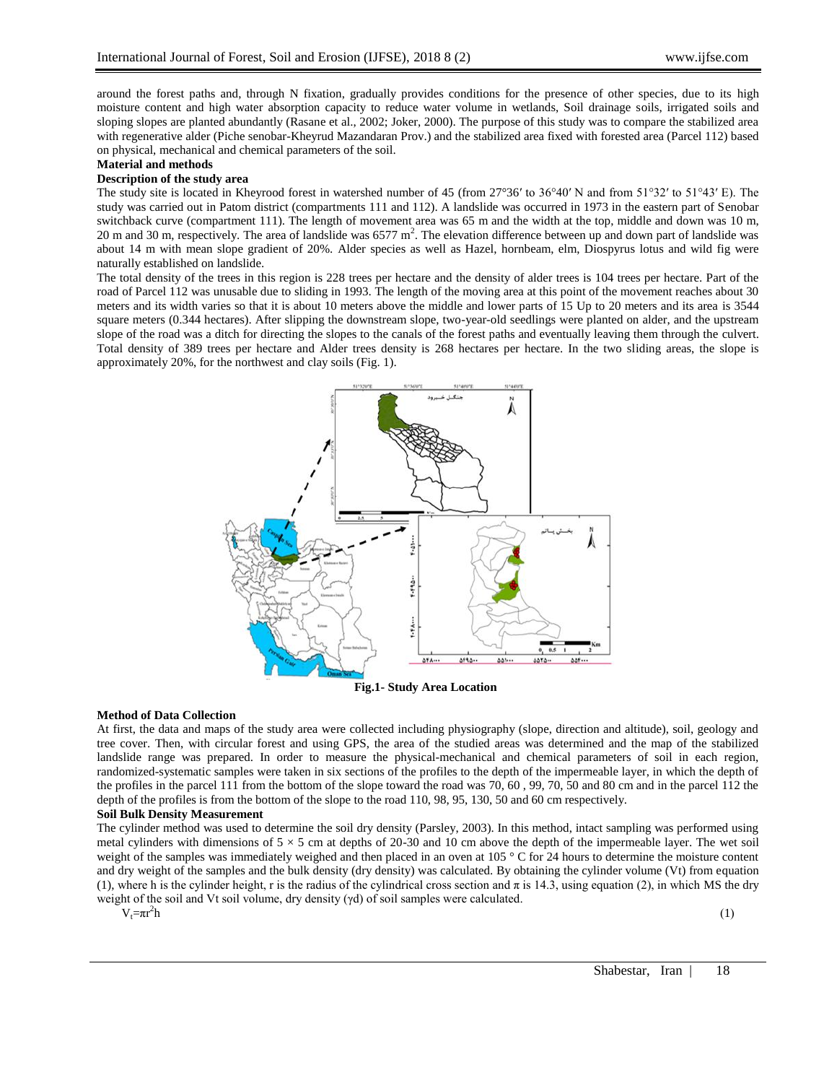around the forest paths and, through N fixation, gradually provides conditions for the presence of other species, due to its high moisture content and high water absorption capacity to reduce water volume in wetlands, Soil drainage soils, irrigated soils and sloping slopes are planted abundantly (Rasane et al., 2002; Joker, 2000). The purpose of this study was to compare the stabilized area with regenerative alder (Piche senobar-Kheyrud Mazandaran Prov.) and the stabilized area fixed with forested area (Parcel 112) based on physical, mechanical and chemical parameters of the soil.

# **Material and methods**

## **Description of the study area**

The study site is located in Kheyrood forest in watershed number of 45 (from 27°36′ to 36°40′ N and from 51°32′ to 51°43′ E). The study was carried out in Patom district (compartments 111 and 112). A landslide was occurred in 1973 in the eastern part of Senobar switchback curve (compartment 111). The length of movement area was 65 m and the width at the top, middle and down was 10 m, 20 m and 30 m, respectively. The area of landslide was 6577  $m^2$ . The elevation difference between up and down part of landslide was about 14 m with mean slope gradient of 20%. Alder species as well as Hazel, hornbeam, elm, Diospyrus lotus and wild fig were naturally established on landslide.

The total density of the trees in this region is 228 trees per hectare and the density of alder trees is 104 trees per hectare. Part of the road of Parcel 112 was unusable due to sliding in 1993. The length of the moving area at this point of the movement reaches about 30 meters and its width varies so that it is about 10 meters above the middle and lower parts of 15 Up to 20 meters and its area is 3544 square meters (0.344 hectares). After slipping the downstream slope, two-year-old seedlings were planted on alder, and the upstream slope of the road was a ditch for directing the slopes to the canals of the forest paths and eventually leaving them through the culvert. Total density of 389 trees per hectare and Alder trees density is 268 hectares per hectare. In the two sliding areas, the slope is approximately 20%, for the northwest and clay soils (Fig. 1).



**Fig.1- Study Area Location**

### **Method of Data Collection**

At first, the data and maps of the study area were collected including physiography (slope, direction and altitude), soil, geology and tree cover. Then, with circular forest and using GPS, the area of the studied areas was determined and the map of the stabilized landslide range was prepared. In order to measure the physical-mechanical and chemical parameters of soil in each region, randomized-systematic samples were taken in six sections of the profiles to the depth of the impermeable layer, in which the depth of the profiles in the parcel 111 from the bottom of the slope toward the road was 70, 60 , 99, 70, 50 and 80 cm and in the parcel 112 the depth of the profiles is from the bottom of the slope to the road 110, 98, 95, 130, 50 and 60 cm respectively.

### **Soil Bulk Density Measurement**

The cylinder method was used to determine the soil dry density (Parsley, 2003). In this method, intact sampling was performed using metal cylinders with dimensions of  $5 \times 5$  cm at depths of 20-30 and 10 cm above the depth of the impermeable layer. The wet soil weight of the samples was immediately weighed and then placed in an oven at 105 ° C for 24 hours to determine the moisture content and dry weight of the samples and the bulk density (dry density) was calculated. By obtaining the cylinder volume (Vt) from equation (1), where h is the cylinder height, r is the radius of the cylindrical cross section and  $\pi$  is 14.3, using equation (2), in which MS the dry weight of the soil and Vt soil volume, dry density (γd) of soil samples were calculated.

 $V_t = \pi r^2 h$  (1)  $^{2}h$ 

Shabestar, Iran | 18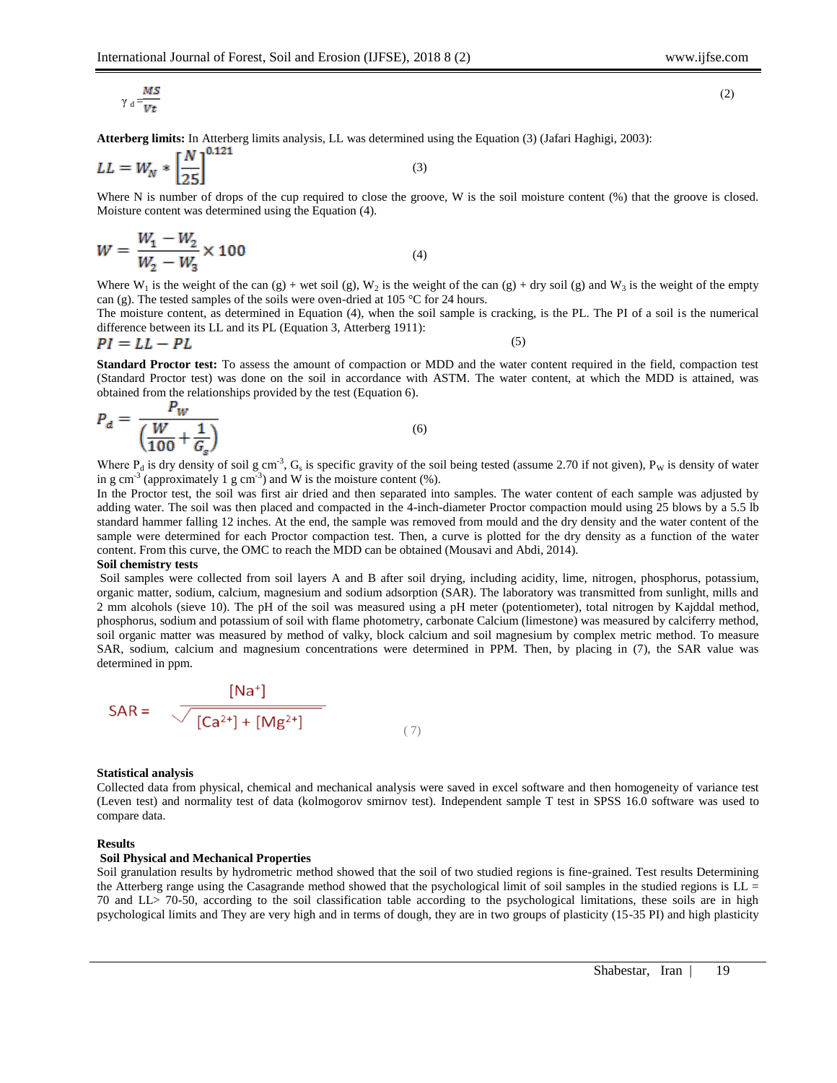$(2)$ 

$$
\gamma_{\rm d} = \frac{MS}{V t}
$$

**Atterberg limits:** In Atterberg limits analysis, LL was determined using the Equation (3) (Jafari Haghigi, 2003):

$$
LL = W_N * \left[\frac{N}{25}\right]^{0.121}
$$

Where N is number of drops of the cup required to close the groove, W is the soil moisture content (%) that the groove is closed. Moisture content was determined using the Equation (4).

(3)

$$
W = \frac{W_1 - W_2}{W_2 - W_3} \times 100
$$
 (4)

Where  $W_1$  is the weight of the can (g) + wet soil (g),  $W_2$  is the weight of the can (g) + dry soil (g) and  $W_3$  is the weight of the empty can (g). The tested samples of the soils were oven-dried at 105 °C for 24 hours.

The moisture content, as determined in Equation (4), when the soil sample is cracking, is the PL. The PI of a soil is the numerical difference between its LL and its PL (Equation 3, Atterberg 1911):

$$
PI = LL - PL \tag{5}
$$

**Standard Proctor test:** To assess the amount of compaction or MDD and the water content required in the field, compaction test (Standard Proctor test) was done on the soil in accordance with ASTM. The water content, at which the MDD is attained, was obtained from the relationships provided by the test (Equation 6).

$$
P_d = \frac{F_W}{\left(\frac{W}{100} + \frac{1}{G_s}\right)}\tag{6}
$$

Where  $P_d$  is dry density of soil g cm<sup>-3</sup>,  $G_s$  is specific gravity of the soil being tested (assume 2.70 if not given),  $P_w$  is density of water in g cm<sup>-3</sup> (approximately 1 g cm<sup>-3</sup>) and W is the moisture content (%).

In the Proctor test, the soil was first air dried and then separated into samples. The water content of each sample was adjusted by adding water. The soil was then placed and compacted in the 4-inch-diameter Proctor compaction mould using 25 blows by a 5.5 lb standard hammer falling 12 inches. At the end, the sample was removed from mould and the dry density and the water content of the sample were determined for each Proctor compaction test. Then, a curve is plotted for the dry density as a function of the water content. From this curve, the OMC to reach the MDD can be obtained (Mousavi and Abdi, 2014).

#### **Soil chemistry tests**

Soil samples were collected from soil layers A and B after soil drying, including acidity, lime, nitrogen, phosphorus, potassium, organic matter, sodium, calcium, magnesium and sodium adsorption (SAR). The laboratory was transmitted from sunlight, mills and 2 mm alcohols (sieve 10). The pH of the soil was measured using a pH meter (potentiometer), total nitrogen by Kajddal method, phosphorus, sodium and potassium of soil with flame photometry, carbonate Calcium (limestone) was measured by calciferry method, soil organic matter was measured by method of valky, block calcium and soil magnesium by complex metric method. To measure SAR, sodium, calcium and magnesium concentrations were determined in PPM. Then, by placing in (7), the SAR value was determined in ppm.

$$
SAR = \frac{[Na^{+}]}{[Ca^{2+}]+[Mg^{2+}]} \tag{7}
$$

### **Statistical analysis**

Collected data from physical, chemical and mechanical analysis were saved in excel software and then homogeneity of variance test (Leven test) and normality test of data (kolmogorov smirnov test)*.* Independent sample T test in SPSS 16.0 software was used to compare data.

#### **Results**

#### **Soil Physical and Mechanical Properties**

Soil granulation results by hydrometric method showed that the soil of two studied regions is fine-grained. Test results Determining the Atterberg range using the Casagrande method showed that the psychological limit of soil samples in the studied regions is  $LL =$ 70 and LL> 70-50, according to the soil classification table according to the psychological limitations, these soils are in high psychological limits and They are very high and in terms of dough, they are in two groups of plasticity (15-35 PI) and high plasticity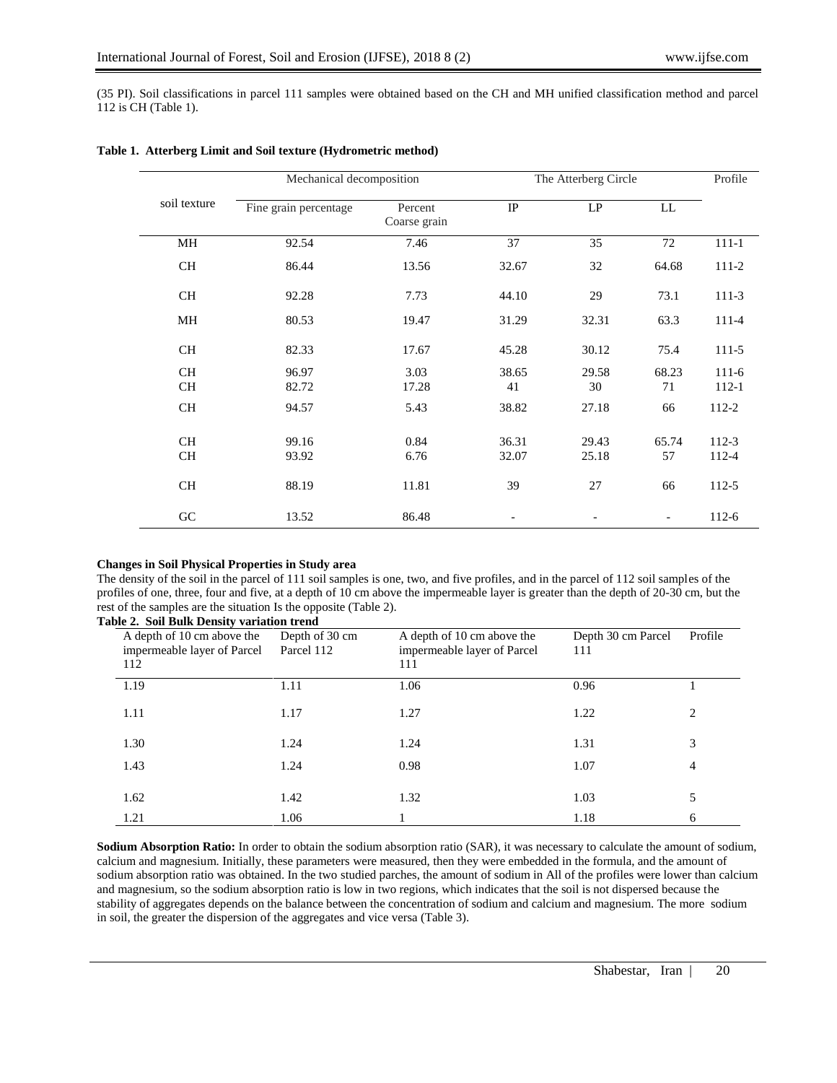(35 PI). Soil classifications in parcel 111 samples were obtained based on the CH and MH unified classification method and parcel 112 is CH (Table 1).

|                        |                       | Mechanical decomposition |                |                | The Atterberg Circle |                      |  |  |
|------------------------|-----------------------|--------------------------|----------------|----------------|----------------------|----------------------|--|--|
| soil texture           | Fine grain percentage | Percent<br>Coarse grain  | IP             | $\mathsf{LP}$  | LL                   |                      |  |  |
| MH                     | 92.54                 | 7.46                     | 37             | 35             | 72                   | $111 - 1$            |  |  |
| <b>CH</b>              | 86.44                 | 13.56                    | 32.67          | 32             | 64.68                | $111-2$              |  |  |
| <b>CH</b>              | 92.28                 | 7.73                     | 44.10          | 29             | 73.1                 | $111-3$              |  |  |
| MH                     | 80.53                 | 19.47                    | 31.29          | 32.31          | 63.3                 | 111-4                |  |  |
| <b>CH</b>              | 82.33                 | 17.67                    | 45.28          | 30.12          | 75.4                 | $111-5$              |  |  |
| <b>CH</b><br><b>CH</b> | 96.97<br>82.72        | 3.03<br>17.28            | 38.65<br>41    | 29.58<br>30    | 68.23<br>71          | $111-6$<br>$112 - 1$ |  |  |
| <b>CH</b>              | 94.57                 | 5.43                     | 38.82          | 27.18          | 66                   | 112-2                |  |  |
| <b>CH</b><br><b>CH</b> | 99.16<br>93.92        | 0.84<br>6.76             | 36.31<br>32.07 | 29.43<br>25.18 | 65.74<br>57          | $112-3$<br>112-4     |  |  |
| <b>CH</b>              | 88.19                 | 11.81                    | 39             | 27             | 66                   | 112-5                |  |  |
| G <sub>C</sub>         | 13.52                 | 86.48                    |                |                |                      | $112-6$              |  |  |

# **Table 1. Atterberg Limit and Soil texture (Hydrometric method)**

### **Changes in Soil Physical Properties in Study area**

The density of the soil in the parcel of 111 soil samples is one, two, and five profiles, and in the parcel of 112 soil samples of the profiles of one, three, four and five, at a depth of 10 cm above the impermeable layer is greater than the depth of 20-30 cm, but the rest of the samples are the situation Is the opposite (Table 2).

| Table 2. Soil Bulk Density variation trend                       |                              |                                                                  |                           |                |
|------------------------------------------------------------------|------------------------------|------------------------------------------------------------------|---------------------------|----------------|
| A depth of 10 cm above the<br>impermeable layer of Parcel<br>112 | Depth of 30 cm<br>Parcel 112 | A depth of 10 cm above the<br>impermeable layer of Parcel<br>111 | Depth 30 cm Parcel<br>111 | Profile        |
| 1.19                                                             | 1.11                         | 1.06                                                             | 0.96                      |                |
| 1.11                                                             | 1.17                         | 1.27                                                             | 1.22                      | 2              |
| 1.30                                                             | 1.24                         | 1.24                                                             | 1.31                      | 3              |
| 1.43                                                             | 1.24                         | 0.98                                                             | 1.07                      | $\overline{4}$ |
| 1.62                                                             | 1.42                         | 1.32                                                             | 1.03                      | 5              |
| 1.21                                                             | 1.06                         |                                                                  | 1.18                      | 6              |

**Sodium Absorption Ratio:** In order to obtain the sodium absorption ratio (SAR), it was necessary to calculate the amount of sodium, calcium and magnesium. Initially, these parameters were measured, then they were embedded in the formula, and the amount of sodium absorption ratio was obtained. In the two studied parches, the amount of sodium in All of the profiles were lower than calcium and magnesium, so the sodium absorption ratio is low in two regions, which indicates that the soil is not dispersed because the stability of aggregates depends on the balance between the concentration of sodium and calcium and magnesium. The more sodium in soil, the greater the dispersion of the aggregates and vice versa (Table 3).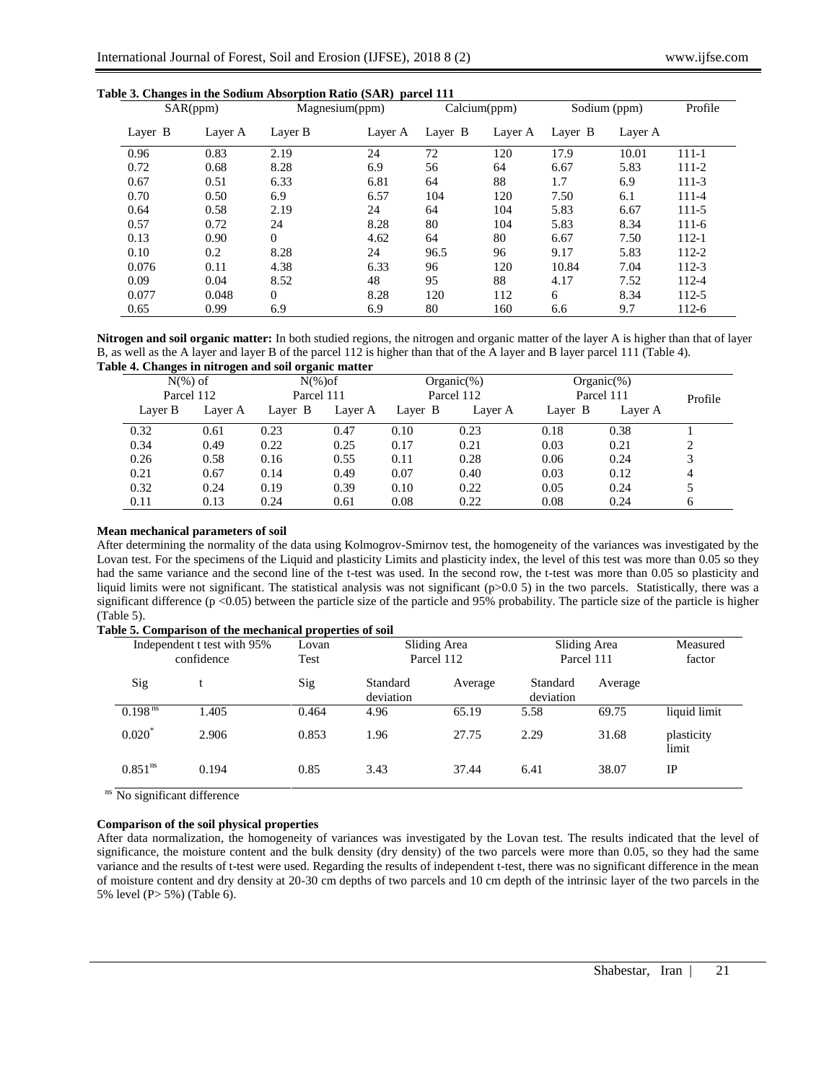| SAR(ppm) |         | Magnesium(ppm) |         |         | Calcium(ppm) |         | Sodium (ppm) |           |
|----------|---------|----------------|---------|---------|--------------|---------|--------------|-----------|
| Layer B  | Layer A | Layer B        | Layer A | Layer B | Layer A      | Layer B | Layer A      |           |
| 0.96     | 0.83    | 2.19           | 24      | 72      | 120          | 17.9    | 10.01        | $111 - 1$ |
| 0.72     | 0.68    | 8.28           | 6.9     | 56      | 64           | 6.67    | 5.83         | 111-2     |
| 0.67     | 0.51    | 6.33           | 6.81    | 64      | 88           | 1.7     | 6.9          | $111-3$   |
| 0.70     | 0.50    | 6.9            | 6.57    | 104     | 120          | 7.50    | 6.1          | 111-4     |
| 0.64     | 0.58    | 2.19           | 24      | 64      | 104          | 5.83    | 6.67         | $111 - 5$ |
| 0.57     | 0.72    | 24             | 8.28    | 80      | 104          | 5.83    | 8.34         | $111-6$   |
| 0.13     | 0.90    | $\Omega$       | 4.62    | 64      | 80           | 6.67    | 7.50         | $112 - 1$ |
| 0.10     | 0.2     | 8.28           | 24      | 96.5    | 96           | 9.17    | 5.83         | 112-2     |
| 0.076    | 0.11    | 4.38           | 6.33    | 96      | 120          | 10.84   | 7.04         | $112 - 3$ |
| 0.09     | 0.04    | 8.52           | 48      | 95      | 88           | 4.17    | 7.52         | 112-4     |
| 0.077    | 0.048   | $\overline{0}$ | 8.28    | 120     | 112          | 6       | 8.34         | 112-5     |
| 0.65     | 0.99    | 6.9            | 6.9     | 80      | 160          | 6.6     | 9.7          | $112-6$   |

# **Table 3. Changes in the Sodium Absorption Ratio (SAR) parcel 111**

**Nitrogen and soil organic matter:** In both studied regions, the nitrogen and organic matter of the layer A is higher than that of layer B, as well as the A layer and layer B of the parcel 112 is higher than that of the A layer and B layer parcel 111 (Table 4). **Table 4. Changes in nitrogen and soil organic matter**

| $N(\%)$ of |         | $N(\%)$ of |         |         | $Organic(\%)$ |            | $Organic(\%)$ |         |
|------------|---------|------------|---------|---------|---------------|------------|---------------|---------|
| Parcel 112 |         | Parcel 111 |         |         | Parcel 112    | Parcel 111 |               | Profile |
| Layer B    | Layer A | Layer B    | Layer A | Layer B | Layer A       | Layer B    | Layer A       |         |
| 0.32       | 0.61    | 0.23       | 0.47    | 0.10    | 0.23          | 0.18       | 0.38          |         |
| 0.34       | 0.49    | 0.22       | 0.25    | 0.17    | 0.21          | 0.03       | 0.21          |         |
| 0.26       | 0.58    | 0.16       | 0.55    | 0.11    | 0.28          | 0.06       | 0.24          |         |
| 0.21       | 0.67    | 0.14       | 0.49    | 0.07    | 0.40          | 0.03       | 0.12          | 4       |
| 0.32       | 0.24    | 0.19       | 0.39    | 0.10    | 0.22          | 0.05       | 0.24          |         |
| 0.11       | 0.13    | 0.24       | 0.61    | 0.08    | 0.22          | 0.08       | 0.24          | 6       |

### **Mean mechanical parameters of soil**

After determining the normality of the data using Kolmogrov-Smirnov test, the homogeneity of the variances was investigated by the Lovan test. For the specimens of the Liquid and plasticity Limits and plasticity index, the level of this test was more than 0.05 so they had the same variance and the second line of the t-test was used. In the second row, the t-test was more than 0.05 so plasticity and liquid limits were not significant. The statistical analysis was not significant (p>0.0 5) in the two parcels. Statistically, there was a significant difference (p <0.05) between the particle size of the particle and 95% probability. The particle size of the particle is higher (Table 5).

| Table 5. Comparison of the mechanical properties of soil |       |               |                            |         |                            |         |                     |  |
|----------------------------------------------------------|-------|---------------|----------------------------|---------|----------------------------|---------|---------------------|--|
| Independent t test with 95%<br>confidence                |       | Lovan<br>Test | Sliding Area<br>Parcel 112 |         | Sliding Area<br>Parcel 111 |         | Measured<br>factor  |  |
| Sig                                                      |       | Sig           | Standard<br>deviation      | Average | Standard<br>deviation      | Average |                     |  |
| $0.198$ <sup>ns</sup>                                    | 1.405 | 0.464         | 4.96                       | 65.19   | 5.58                       | 69.75   | liquid limit        |  |
| 0.020                                                    | 2.906 | 0.853         | 1.96                       | 27.75   | 2.29                       | 31.68   | plasticity<br>limit |  |
| 0.851 <sup>ns</sup>                                      | 0.194 | 0.85          | 3.43                       | 37.44   | 6.41                       | 38.07   | IP                  |  |

ns No significant difference

### **Comparison of the soil physical properties**

After data normalization, the homogeneity of variances was investigated by the Lovan test. The results indicated that the level of significance, the moisture content and the bulk density (dry density) of the two parcels were more than 0.05, so they had the same variance and the results of t-test were used. Regarding the results of independent t-test, there was no significant difference in the mean of moisture content and dry density at 20-30 cm depths of two parcels and 10 cm depth of the intrinsic layer of the two parcels in the 5% level (P> 5%) (Table 6).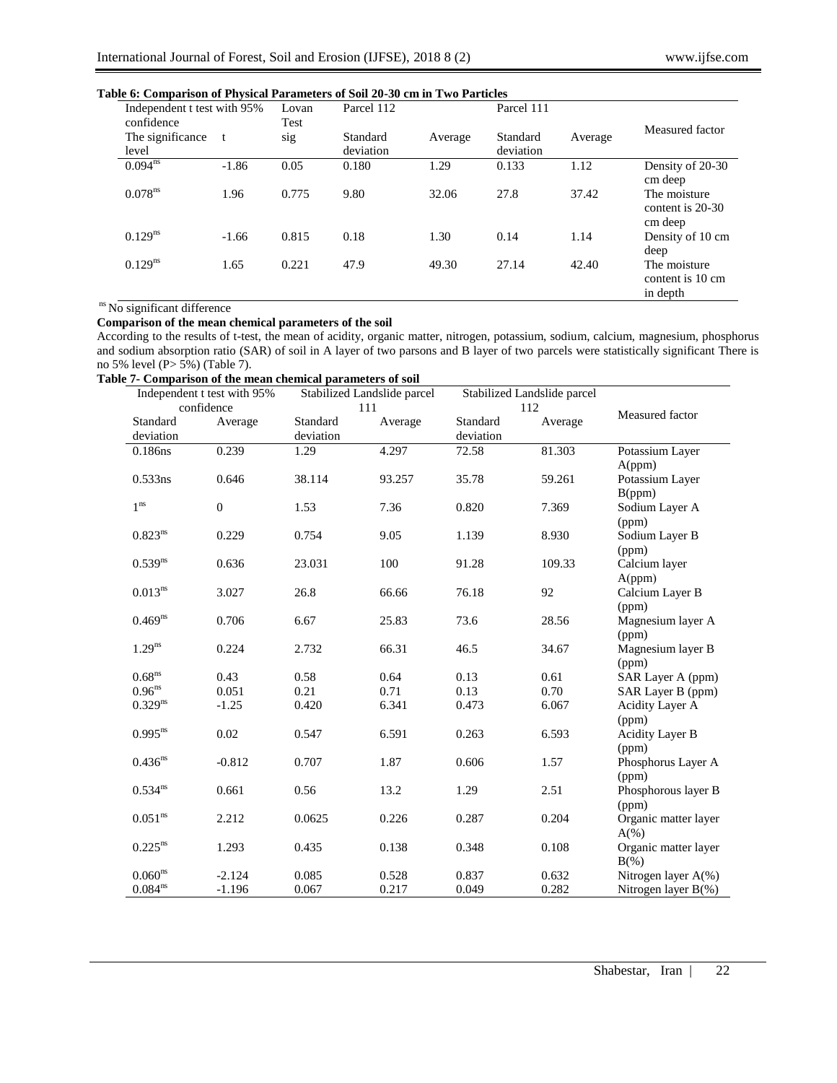| Independent t test with 95%<br>confidence |         | Lovan<br>Test | Parcel 112            |         | Parcel 111            |         |                                              |
|-------------------------------------------|---------|---------------|-----------------------|---------|-----------------------|---------|----------------------------------------------|
| The significance<br>level                 | t       | sig           | Standard<br>deviation | Average | Standard<br>deviation | Average | Measured factor                              |
| $0.094^{ns}$                              | $-1.86$ | 0.05          | 0.180                 | 1.29    | 0.133                 | 1.12    | Density of 20-30<br>cm deep                  |
| 0.078 <sup>ns</sup>                       | 1.96    | 0.775         | 9.80                  | 32.06   | 27.8                  | 37.42   | The moisture<br>content is 20-30<br>cm deep  |
| $0.129^{ns}$                              | $-1.66$ | 0.815         | 0.18                  | 1.30    | 0.14                  | 1.14    | Density of 10 cm<br>deep                     |
| $0.129^{ns}$                              | 1.65    | 0.221         | 47.9                  | 49.30   | 27.14                 | 42.40   | The moisture<br>content is 10 cm<br>in depth |

# **Table 6: Comparison of Physical Parameters of Soil 20-30 cm in Two Particles**

## ns No significant difference

## **Comparison of the mean chemical parameters of the soil**

According to the results of t-test, the mean of acidity, organic matter, nitrogen, potassium, sodium, calcium, magnesium, phosphorus and sodium absorption ratio (SAR) of soil in A layer of two parsons and B layer of two parcels were statistically significant There is no 5% level (P> 5%) (Table 7).

### **Table 7- Comparison of the mean chemical parameters of soil**

| Independent t test with 95% |                  | Stabilized Landslide parcel |         | Stabilized Landslide parcel |         |                        |
|-----------------------------|------------------|-----------------------------|---------|-----------------------------|---------|------------------------|
|                             | confidence       |                             | 111     |                             | 112     | Measured factor        |
| Standard                    | Average          | Standard                    | Average | Standard                    | Average |                        |
| deviation                   |                  | deviation                   |         | deviation                   |         |                        |
| 0.186ns                     | 0.239            | 1.29                        | 4.297   | 72.58                       | 81.303  | Potassium Layer        |
|                             |                  |                             |         |                             |         | A(ppm)                 |
| 0.533ns                     | 0.646            | 38.114                      | 93.257  | 35.78                       | 59.261  | Potassium Layer        |
|                             |                  |                             |         |                             |         | B(ppm)                 |
| 1 <sup>ns</sup>             | $\boldsymbol{0}$ | 1.53                        | 7.36    | 0.820                       | 7.369   | Sodium Layer A         |
|                             |                  |                             |         |                             |         | (ppm)                  |
| $0.823^{ns}$                | 0.229            | 0.754                       | 9.05    | 1.139                       | 8.930   | Sodium Layer B         |
|                             |                  |                             |         |                             |         | (ppm)                  |
| $0.539^{ns}$                | 0.636            | 23.031                      | 100     | 91.28                       | 109.33  | Calcium layer          |
|                             |                  |                             |         |                             |         | A(ppm)                 |
| $0.013^{ns}$                | 3.027            | 26.8                        | 66.66   | 76.18                       | 92      | Calcium Layer B        |
|                             |                  |                             |         |                             |         | (ppm)                  |
| $0.469^{ns}$                | 0.706            | 6.67                        | 25.83   | 73.6                        | 28.56   | Magnesium layer A      |
|                             |                  |                             |         |                             |         | (ppm)                  |
| $1.29^{ns}$                 | 0.224            | 2.732                       | 66.31   | 46.5                        | 34.67   | Magnesium layer B      |
|                             |                  |                             |         |                             |         | (ppm)                  |
| 0.68 <sup>ns</sup>          | 0.43             | 0.58                        | 0.64    | 0.13                        | 0.61    | SAR Layer A (ppm)      |
| 0.96 <sup>ns</sup>          | 0.051            | 0.21                        | 0.71    | 0.13                        | 0.70    | SAR Layer B (ppm)      |
| $0.329^{ns}$                | $-1.25$          | 0.420                       | 6.341   | 0.473                       | 6.067   | Acidity Layer A        |
|                             |                  |                             |         |                             |         | (ppm)                  |
| $0.995^{ns}$                | 0.02             | 0.547                       | 6.591   | 0.263                       | 6.593   | Acidity Layer B        |
|                             |                  |                             |         |                             |         | (ppm)                  |
| $0.436^{ns}$                | $-0.812$         | 0.707                       | 1.87    | 0.606                       | 1.57    | Phosphorus Layer A     |
|                             |                  |                             |         |                             |         | (ppm)                  |
| $0.534^{ns}$                | 0.661            | 0.56                        | 13.2    | 1.29                        | 2.51    | Phosphorous layer B    |
|                             |                  |                             |         |                             |         | (ppm)                  |
| $0.051^{\rm ns}$            | 2.212            | 0.0625                      | 0.226   | 0.287                       | 0.204   | Organic matter layer   |
|                             |                  |                             |         |                             |         | $A(\%)$                |
| $0.225^{ns}$                | 1.293            | 0.435                       | 0.138   | 0.348                       | 0.108   | Organic matter layer   |
|                             |                  |                             |         |                             |         | $B(\%)$                |
| 0.060 <sup>ns</sup>         | $-2.124$         | 0.085                       | 0.528   | 0.837                       | 0.632   | Nitrogen layer A(%)    |
| $0.084^{\rm ns}$            | $-1.196$         | 0.067                       | 0.217   | 0.049                       | 0.282   | Nitrogen layer $B(\%)$ |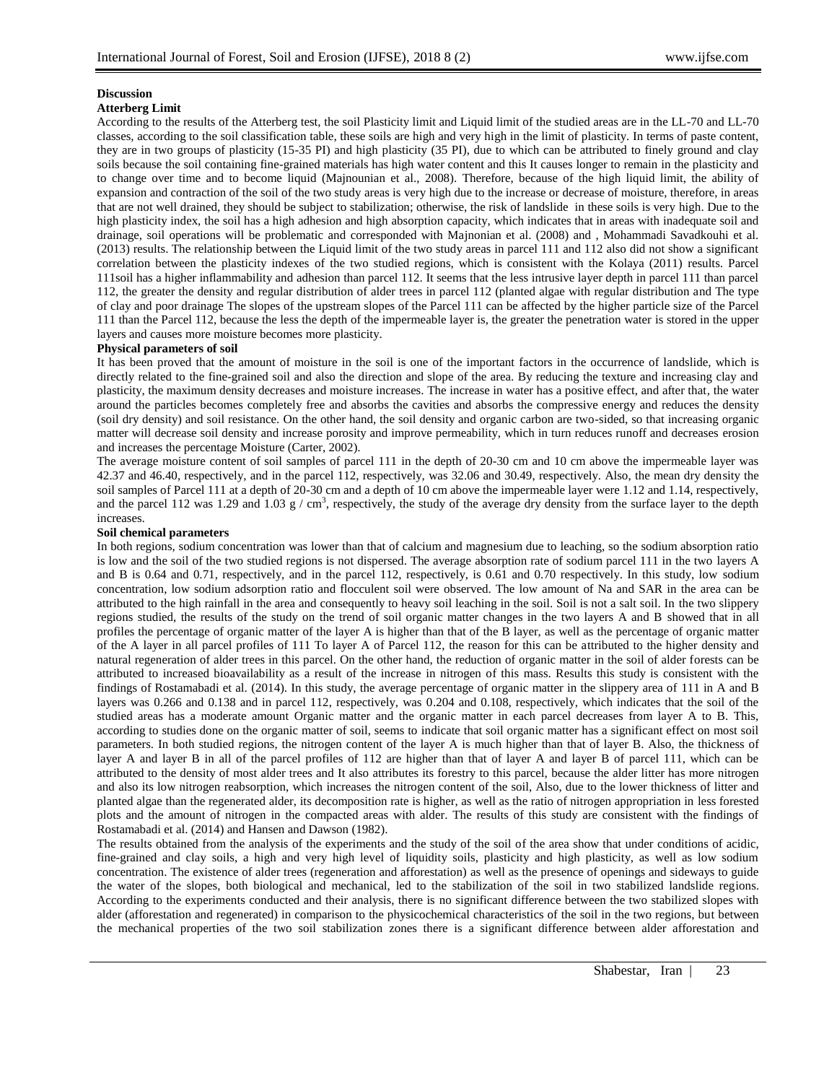#### **Discussion Atterberg Limit**

According to the results of the Atterberg test, the soil Plasticity limit and Liquid limit of the studied areas are in the LL-70 and LL-70 classes, according to the soil classification table, these soils are high and very high in the limit of plasticity. In terms of paste content, they are in two groups of plasticity (15-35 PI) and high plasticity (35 PI), due to which can be attributed to finely ground and clay soils because the soil containing fine-grained materials has high water content and this It causes longer to remain in the plasticity and to change over time and to become liquid (Majnounian et al., 2008). Therefore, because of the high liquid limit, the ability of expansion and contraction of the soil of the two study areas is very high due to the increase or decrease of moisture, therefore, in areas that are not well drained, they should be subject to stabilization; otherwise, the risk of landslide in these soils is very high. Due to the high plasticity index, the soil has a high adhesion and high absorption capacity, which indicates that in areas with inadequate soil and drainage, soil operations will be problematic and corresponded with Majnonian et al. (2008) and , Mohammadi Savadkouhi et al. (2013) results. The relationship between the Liquid limit of the two study areas in parcel 111 and 112 also did not show a significant correlation between the plasticity indexes of the two studied regions, which is consistent with the Kolaya (2011) results. Parcel 111soil has a higher inflammability and adhesion than parcel 112. It seems that the less intrusive layer depth in parcel 111 than parcel 112, the greater the density and regular distribution of alder trees in parcel 112 (planted algae with regular distribution and The type of clay and poor drainage The slopes of the upstream slopes of the Parcel 111 can be affected by the higher particle size of the Parcel 111 than the Parcel 112, because the less the depth of the impermeable layer is, the greater the penetration water is stored in the upper layers and causes more moisture becomes more plasticity.

# **Physical parameters of soil**

It has been proved that the amount of moisture in the soil is one of the important factors in the occurrence of landslide, which is directly related to the fine-grained soil and also the direction and slope of the area. By reducing the texture and increasing clay and plasticity, the maximum density decreases and moisture increases. The increase in water has a positive effect, and after that, the water around the particles becomes completely free and absorbs the cavities and absorbs the compressive energy and reduces the density (soil dry density) and soil resistance. On the other hand, the soil density and organic carbon are two-sided, so that increasing organic matter will decrease soil density and increase porosity and improve permeability, which in turn reduces runoff and decreases erosion and increases the percentage Moisture (Carter, 2002).

The average moisture content of soil samples of parcel 111 in the depth of 20-30 cm and 10 cm above the impermeable layer was 42.37 and 46.40, respectively, and in the parcel 112, respectively, was 32.06 and 30.49, respectively. Also, the mean dry density the soil samples of Parcel 111 at a depth of 20-30 cm and a depth of 10 cm above the impermeable layer were 1.12 and 1.14, respectively, and the parcel 112 was 1.29 and 1.03 g / cm<sup>3</sup>, respectively, the study of the average dry density from the surface layer to the depth increases.

# **Soil chemical parameters**

In both regions, sodium concentration was lower than that of calcium and magnesium due to leaching, so the sodium absorption ratio is low and the soil of the two studied regions is not dispersed. The average absorption rate of sodium parcel 111 in the two layers A and B is 0.64 and 0.71, respectively, and in the parcel 112, respectively, is 0.61 and 0.70 respectively. In this study, low sodium concentration, low sodium adsorption ratio and flocculent soil were observed. The low amount of Na and SAR in the area can be attributed to the high rainfall in the area and consequently to heavy soil leaching in the soil. Soil is not a salt soil. In the two slippery regions studied, the results of the study on the trend of soil organic matter changes in the two layers A and B showed that in all profiles the percentage of organic matter of the layer A is higher than that of the B layer, as well as the percentage of organic matter of the A layer in all parcel profiles of 111 To layer A of Parcel 112, the reason for this can be attributed to the higher density and natural regeneration of alder trees in this parcel. On the other hand, the reduction of organic matter in the soil of alder forests can be attributed to increased bioavailability as a result of the increase in nitrogen of this mass. Results this study is consistent with the findings of Rostamabadi et al. (2014). In this study, the average percentage of organic matter in the slippery area of 111 in A and B layers was 0.266 and 0.138 and in parcel 112, respectively, was 0.204 and 0.108, respectively, which indicates that the soil of the studied areas has a moderate amount Organic matter and the organic matter in each parcel decreases from layer A to B. This, according to studies done on the organic matter of soil, seems to indicate that soil organic matter has a significant effect on most soil parameters. In both studied regions, the nitrogen content of the layer A is much higher than that of layer B. Also, the thickness of layer A and layer B in all of the parcel profiles of 112 are higher than that of layer A and layer B of parcel 111, which can be attributed to the density of most alder trees and It also attributes its forestry to this parcel, because the alder litter has more nitrogen and also its low nitrogen reabsorption, which increases the nitrogen content of the soil, Also, due to the lower thickness of litter and planted algae than the regenerated alder, its decomposition rate is higher, as well as the ratio of nitrogen appropriation in less forested plots and the amount of nitrogen in the compacted areas with alder. The results of this study are consistent with the findings of Rostamabadi et al. (2014) and Hansen and Dawson (1982).

The results obtained from the analysis of the experiments and the study of the soil of the area show that under conditions of acidic, fine-grained and clay soils, a high and very high level of liquidity soils, plasticity and high plasticity, as well as low sodium concentration. The existence of alder trees (regeneration and afforestation) as well as the presence of openings and sideways to guide the water of the slopes, both biological and mechanical, led to the stabilization of the soil in two stabilized landslide regions. According to the experiments conducted and their analysis, there is no significant difference between the two stabilized slopes with alder (afforestation and regenerated) in comparison to the physicochemical characteristics of the soil in the two regions, but between the mechanical properties of the two soil stabilization zones there is a significant difference between alder afforestation and